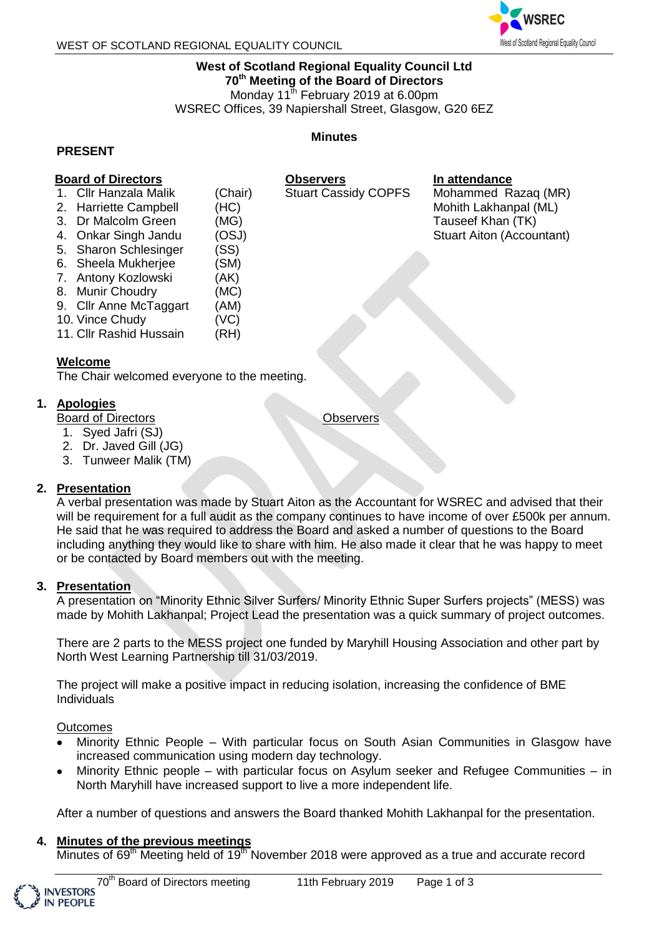

#### **West of Scotland Regional Equality Council Ltd 70th Meeting of the Board of Directors**

Monday 11<sup>th</sup> February 2019 at 6.00pm

Stuart Cassidy COPFS

WSREC Offices, 39 Napiershall Street, Glasgow, G20 6EZ

#### **PRESENT**

#### **Minutes**

**Observers**

**Board of Directors**

- 1. Cllr Hanzala Malik (Chair)
- 2. Harriette Campbell (HC)
- 3. Dr Malcolm Green (MG)
- 4. Onkar Singh Jandu (OSJ)
- 5. Sharon Schlesinger (SS)
- 6. Sheela Mukherjee (SM)
- 7. Antony Kozlowski (AK)
- 8. Munir Choudry (MC)
- 9. Cllr Anne McTaggart (AM)
- 10. Vince Chudy (VC)
- 11. Cllr Rashid Hussain (RH)

## **Welcome**

The Chair welcomed everyone to the meeting.

## **1. Apologies**

Board of Directors

- 1. Syed Jafri (SJ)
- 2. Dr. Javed Gill (JG)
- 3. Tunweer Malik (TM)

## **2. Presentation**

A verbal presentation was made by Stuart Aiton as the Accountant for WSREC and advised that their will be requirement for a full audit as the company continues to have income of over £500k per annum. He said that he was required to address the Board and asked a number of questions to the Board including anything they would like to share with him. He also made it clear that he was happy to meet or be contacted by Board members out with the meeting.

## **3. Presentation**

A presentation on "Minority Ethnic Silver Surfers/ Minority Ethnic Super Surfers projects" (MESS) was made by Mohith Lakhanpal; Project Lead the presentation was a quick summary of project outcomes.

There are 2 parts to the MESS project one funded by Maryhill Housing Association and other part by North West Learning Partnership till 31/03/2019.

The project will make a positive impact in reducing isolation, increasing the confidence of BME Individuals

**Outcomes** 

- Minority Ethnic People With particular focus on South Asian Communities in Glasgow have increased communication using modern day technology.
- Minority Ethnic people with particular focus on Asylum seeker and Refugee Communities in North Maryhill have increased support to live a more independent life.

After a number of questions and answers the Board thanked Mohith Lakhanpal for the presentation.

## **4. Minutes of the previous meetings**

Minutes of 69<sup>th</sup> Meeting held of 19<sup>th</sup> November 2018 were approved as a true and accurate record

**Observers** 

**In attendance** Mohammed Razaq (MR) Mohith Lakhanpal (ML) Tauseef Khan (TK) Stuart Aiton (Accountant)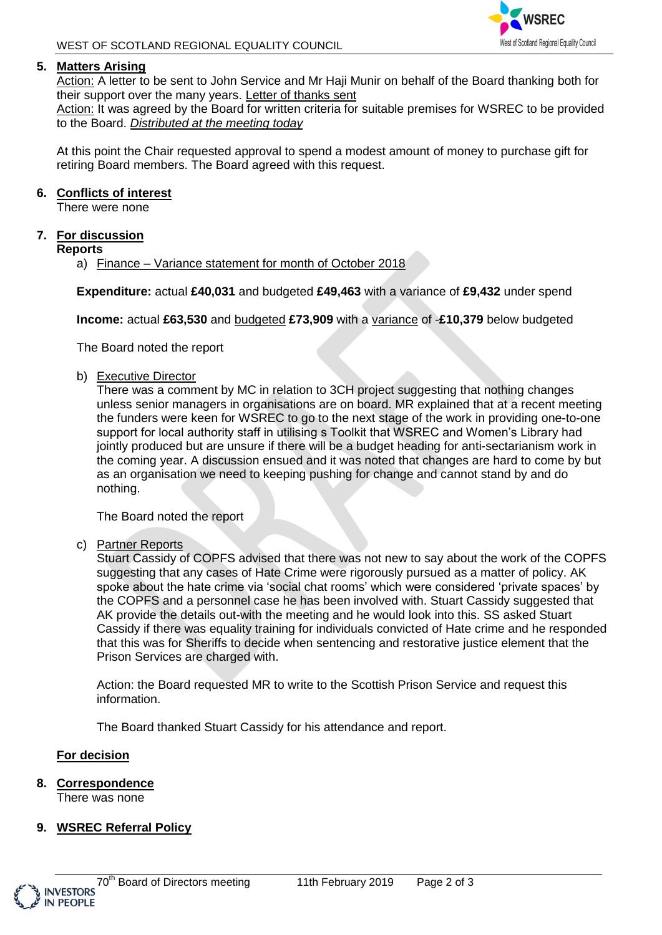## **5. Matters Arising**

Action: A letter to be sent to John Service and Mr Haji Munir on behalf of the Board thanking both for their support over the many years. Letter of thanks sent

Action: It was agreed by the Board for written criteria for suitable premises for WSREC to be provided to the Board. *Distributed at the meeting today*

At this point the Chair requested approval to spend a modest amount of money to purchase gift for retiring Board members. The Board agreed with this request.

#### **6. Conflicts of interest**

There were none

## **7. For discussion**

**Reports**

a) Finance – Variance statement for month of October 2018

**Expenditure:** actual **£40,031** and budgeted **£49,463** with a variance of **£9,432** under spend

**Income:** actual **£63,530** and budgeted **£73,909** with a variance of -**£10,379** below budgeted

The Board noted the report

#### b) Executive Director

There was a comment by MC in relation to 3CH project suggesting that nothing changes unless senior managers in organisations are on board. MR explained that at a recent meeting the funders were keen for WSREC to go to the next stage of the work in providing one-to-one support for local authority staff in utilising s Toolkit that WSREC and Women's Library had jointly produced but are unsure if there will be a budget heading for anti-sectarianism work in the coming year. A discussion ensued and it was noted that changes are hard to come by but as an organisation we need to keeping pushing for change and cannot stand by and do nothing.

The Board noted the report

c) Partner Reports

Stuart Cassidy of COPFS advised that there was not new to say about the work of the COPFS suggesting that any cases of Hate Crime were rigorously pursued as a matter of policy. AK spoke about the hate crime via 'social chat rooms' which were considered 'private spaces' by the COPFS and a personnel case he has been involved with. Stuart Cassidy suggested that AK provide the details out-with the meeting and he would look into this. SS asked Stuart Cassidy if there was equality training for individuals convicted of Hate crime and he responded that this was for Sheriffs to decide when sentencing and restorative justice element that the Prison Services are charged with.

Action: the Board requested MR to write to the Scottish Prison Service and request this information.

The Board thanked Stuart Cassidy for his attendance and report.

## **For decision**

**8. Correspondence**

There was none

## **9. WSREC Referral Policy**